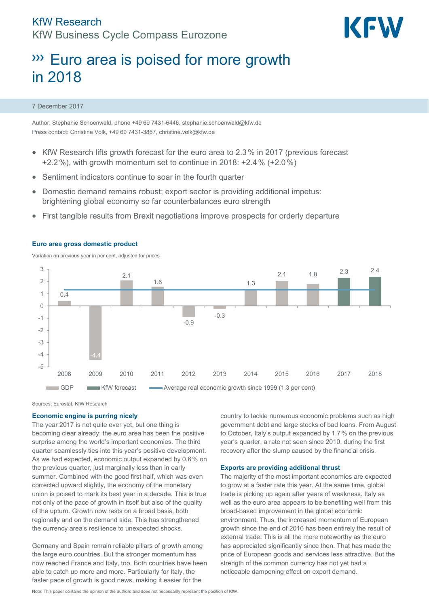

# **WEU area is poised for more growth** in 2018

### 7 December 2017

Author: Stephanie Schoenwald, phone +49 69 7431-6446, stephanie.schoenwald@kfw.de Press contact: Christine Volk, +49 69 7431-3867, christine.volk@kfw.de

- KfW Research lifts growth forecast for the euro area to 2.3% in 2017 (previous forecast +2.2%), with growth momentum set to continue in 2018: +2.4% (+2.0%)
- Sentiment indicators continue to soar in the fourth quarter
- Domestic demand remains robust; export sector is providing additional impetus: brightening global economy so far counterbalances euro strength
- First tangible results from Brexit negotiations improve prospects for orderly departure



#### **Euro area gross domestic product**

Variation on previous year in per cent, adjusted for prices

Sources: Eurostat, KfW Research

# **Economic engine is purring nicely**

The year 2017 is not quite over yet, but one thing is becoming clear already: the euro area has been the positive surprise among the world's important economies. The third quarter seamlessly ties into this year's positive development. As we had expected, economic output expanded by 0.6% on the previous quarter, just marginally less than in early summer. Combined with the good first half, which was even corrected upward slightly, the economy of the monetary union is poised to mark its best year in a decade. This is true not only of the pace of growth in itself but also of the quality of the upturn. Growth now rests on a broad basis, both regionally and on the demand side. This has strengthened the currency area's resilience to unexpected shocks.

Germany and Spain remain reliable pillars of growth among the large euro countries. But the stronger momentum has now reached France and Italy, too. Both countries have been able to catch up more and more. Particularly for Italy, the faster pace of growth is good news, making it easier for the

country to tackle numerous economic problems such as high government debt and large stocks of bad loans. From August to October, Italy's output expanded by 1.7% on the previous year's quarter, a rate not seen since 2010, during the first recovery after the slump caused by the financial crisis.

# **Exports are providing additional thrust**

The majority of the most important economies are expected to grow at a faster rate this year. At the same time, global trade is picking up again after years of weakness. Italy as well as the euro area appears to be benefiting well from this broad-based improvement in the global economic environment. Thus, the increased momentum of European growth since the end of 2016 has been entirely the result of external trade. This is all the more noteworthy as the euro has appreciated significantly since then. That has made the price of European goods and services less attractive. But the strength of the common currency has not yet had a noticeable dampening effect on export demand.